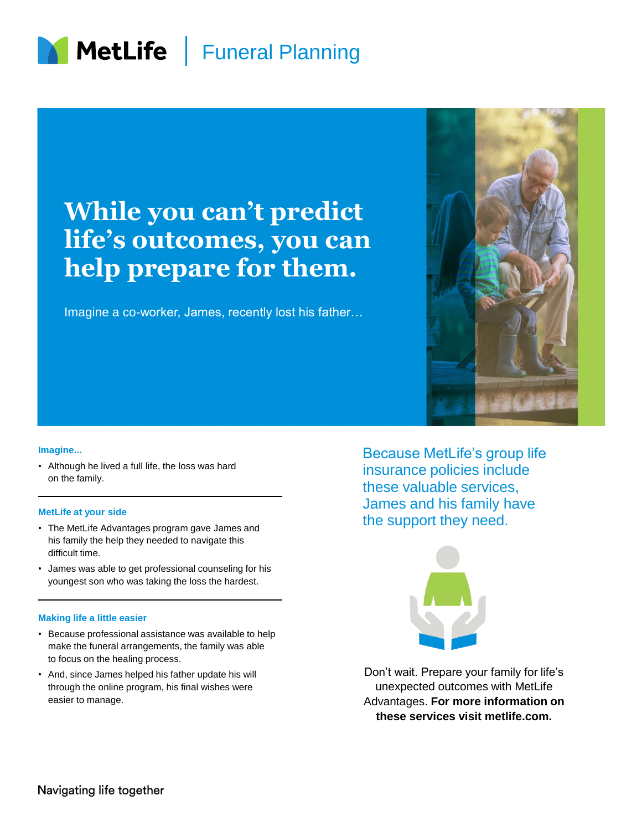

## **While you can't predict life's outcomes, you can help prepare for them.**

Imagine a co-worker, James, recently lost his father…



#### **Imagine...**

• Although he lived a full life, the loss was hard on the family.

#### **MetLife at your side**

- The MetLife Advantages program gave James and his family the help they needed to navigate this difficult time.
- James was able to get professional counseling for his youngest son who was taking the loss the hardest.

#### **Making life a little easier**

- Because professional assistance was available to help make the funeral arrangements, the family was able to focus on the healing process.
- And, since James helped his father update his will through the online program, his final wishes were easier to manage.

Because MetLife's group life insurance policies include these valuable services, James and his family have the support they need.



Don't wait. Prepare your family for life's unexpected outcomes with MetLife Advantages. **For more information on these services visit metlife.com.**